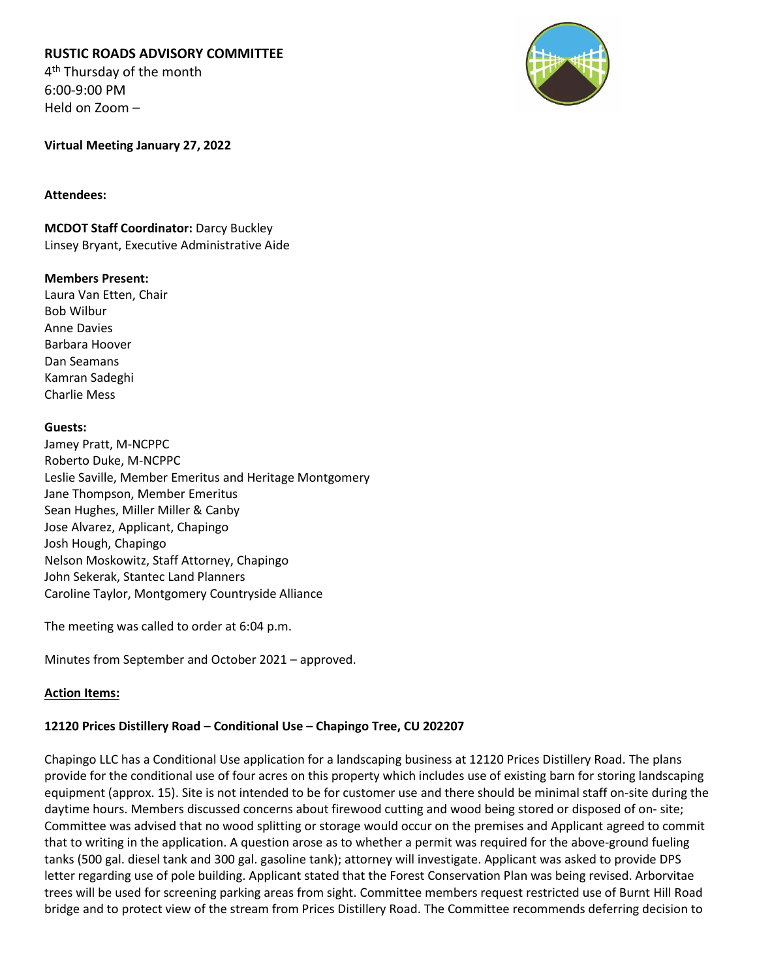# **RUSTIC ROADS ADVISORY COMMITTEE**

4<sup>th</sup> Thursday of the month 6:00-9:00 PM Held on Zoom –



### **Virtual Meeting January 27, 2022**

### **Attendees:**

**MCDOT Staff Coordinator:** Darcy Buckley Linsey Bryant, Executive Administrative Aide

### **Members Present:**

Laura Van Etten, Chair Bob Wilbur Anne Davies Barbara Hoover Dan Seamans Kamran Sadeghi Charlie Mess

### **Guests:**

Jamey Pratt, M-NCPPC Roberto Duke, M-NCPPC Leslie Saville, Member Emeritus and Heritage Montgomery Jane Thompson, Member Emeritus Sean Hughes, Miller Miller & Canby Jose Alvarez, Applicant, Chapingo Josh Hough, Chapingo Nelson Moskowitz, Staff Attorney, Chapingo John Sekerak, Stantec Land Planners Caroline Taylor, Montgomery Countryside Alliance

The meeting was called to order at 6:04 p.m.

Minutes from September and October 2021 – approved.

## **Action Items:**

## **12120 Prices Distillery Road – Conditional Use – Chapingo Tree, CU 202207**

Chapingo LLC has a Conditional Use application for a landscaping business at 12120 Prices Distillery Road. The plans provide for the conditional use of four acres on this property which includes use of existing barn for storing landscaping equipment (approx. 15). Site is not intended to be for customer use and there should be minimal staff on-site during the daytime hours. Members discussed concerns about firewood cutting and wood being stored or disposed of on- site; Committee was advised that no wood splitting or storage would occur on the premises and Applicant agreed to commit that to writing in the application. A question arose as to whether a permit was required for the above-ground fueling tanks (500 gal. diesel tank and 300 gal. gasoline tank); attorney will investigate. Applicant was asked to provide DPS letter regarding use of pole building. Applicant stated that the Forest Conservation Plan was being revised. Arborvitae trees will be used for screening parking areas from sight. Committee members request restricted use of Burnt Hill Road bridge and to protect view of the stream from Prices Distillery Road. The Committee recommends deferring decision to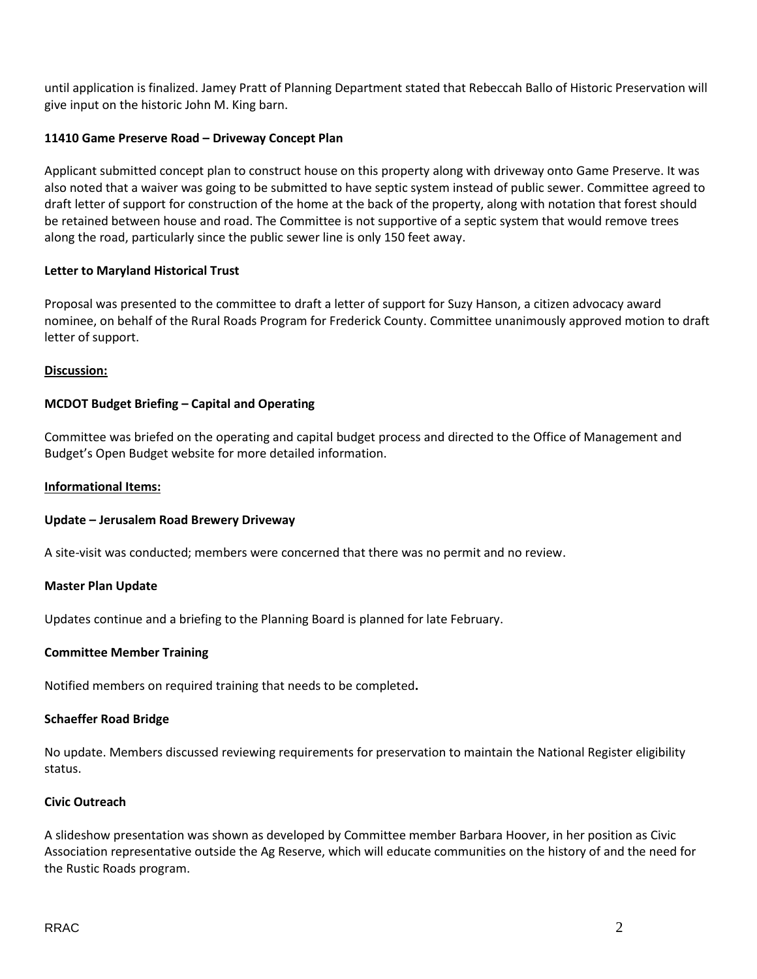until application is finalized. Jamey Pratt of Planning Department stated that Rebeccah Ballo of Historic Preservation will give input on the historic John M. King barn.

## **11410 Game Preserve Road – Driveway Concept Plan**

Applicant submitted concept plan to construct house on this property along with driveway onto Game Preserve. It was also noted that a waiver was going to be submitted to have septic system instead of public sewer. Committee agreed to draft letter of support for construction of the home at the back of the property, along with notation that forest should be retained between house and road. The Committee is not supportive of a septic system that would remove trees along the road, particularly since the public sewer line is only 150 feet away.

## **Letter to Maryland Historical Trust**

Proposal was presented to the committee to draft a letter of support for Suzy Hanson, a citizen advocacy award nominee, on behalf of the Rural Roads Program for Frederick County. Committee unanimously approved motion to draft letter of support.

## **Discussion:**

# **MCDOT Budget Briefing – Capital and Operating**

Committee was briefed on the operating and capital budget process and directed to the Office of Management and Budget's Open Budget website for more detailed information.

### **Informational Items:**

## **Update – Jerusalem Road Brewery Driveway**

A site-visit was conducted; members were concerned that there was no permit and no review.

## **Master Plan Update**

Updates continue and a briefing to the Planning Board is planned for late February.

#### **Committee Member Training**

Notified members on required training that needs to be completed**.** 

#### **Schaeffer Road Bridge**

No update. Members discussed reviewing requirements for preservation to maintain the National Register eligibility status.

## **Civic Outreach**

A slideshow presentation was shown as developed by Committee member Barbara Hoover, in her position as Civic Association representative outside the Ag Reserve, which will educate communities on the history of and the need for the Rustic Roads program.